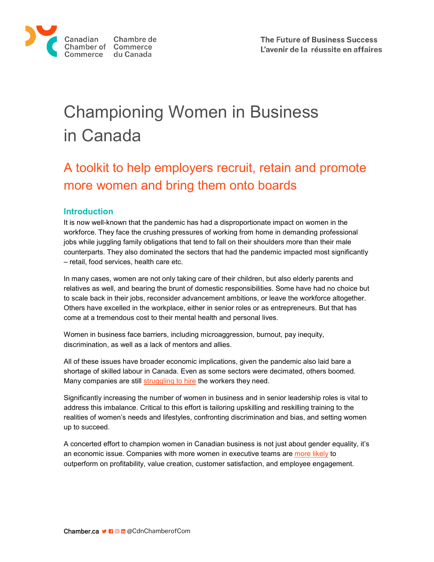

# Championing Women in Business in Canada

## A toolkit to help employers recruit, retain and promote more women and bring them onto boards

## **Introduction**

It is now well-known that the pandemic has had a disproportionate impact on women in the workforce. They face the crushing pressures of working from home in demanding professional jobs while juggling family obligations that tend to fall on their shoulders more than their male counterparts. They also dominated the sectors that had the pandemic impacted most significantly – retail, food services, health care etc.

In many cases, women are not only taking care of their children, but also elderly parents and relatives as well, and bearing the brunt of domestic responsibilities. Some have had no choice but to scale back in their jobs, reconsider advancement ambitions, or leave the workforce altogether. Others have excelled in the workplace, either in senior roles or as entrepreneurs. But that has come at a tremendous cost to their mental health and personal lives.

Women in business face barriers, including microaggression, burnout, pay inequity, discrimination, as well as a lack of mentors and allies.

All of these issues have broader economic implications, given the pandemic also laid bare a shortage of skilled labour in Canada. Even as some sectors were decimated, others boomed. Many companies are still [struggling](https://www.bdc.ca/en/about/analysis-research/labour-shortage) to hire the workers they need.

Significantly increasing the number of women in business and in senior leadership roles is vital to address this imbalance. Critical to this effort is tailoring upskilling and reskilling training to the realities of women's needs and lifestyles, confronting discrimination and bias, and setting women up to succeed.

A concerted effort to champion women in Canadian business is not just about gender equality, it's an economic issue. Companies with more women in executive teams ar[e more likely](https://www.mckinsey.com/%7E/media/mckinsey/business%20functions/organization/our%20insights/delivering%20through%20diversity/delivering-through-diversity_full-report.ashx) to outperform on profitability, value creation, customer satisfaction, and employee engagement.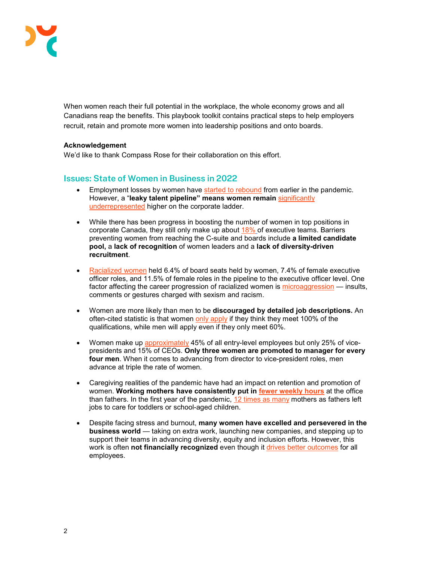

When women reach their full potential in the workplace, the whole economy grows and all Canadians reap the benefits. This playbook toolkit contains practical steps to help employers recruit, retain and promote more women into leadership positions and onto boards.

## **Acknowledgement**

We'd like to thank Compass Rose for their collaboration on this effort.

## **Issues: State of Women in Business in 2022**

- Employment losses by women have [started to rebound](https://www150.statcan.gc.ca/n1/daily-quotidien/211105/dq211105a-eng.htm) from earlier in the pandemic. However, a "**leaky talent pipeline" means women remain** [significantly](https://www.mckinsey.com/featured-insights/gender-equality/the-present-and-future-of-women-at-work-in-canada)  [underrepresented](https://www.mckinsey.com/featured-insights/gender-equality/the-present-and-future-of-women-at-work-in-canada) higher on the corporate ladder.
- While there has been progress in boosting the number of women in top positions in corporate Canada, they still only make up about [18%](https://www.catalyst.org/wp-content/uploads/2020/03/Women-in-Leadership_SP_TSXCompanies_report_English-Final-1.pdf) of executive teams. Barriers preventing women from reaching the C-suite and boards include **a limited candidate pool,** a **lack of recognition** of women leaders and a **lack of diversity-driven recruitment**.
- [Racialized women](https://canadianprosperityproject.ca/data-tracking) held 6.4% of board seats held by women, 7.4% of female executive officer roles, and 11.5% of female roles in the pipeline to the executive officer level. One factor affecting the career progression of racialized women is [microaggression](https://leanin.org/women-in-the-workplace-report-2018/everyday-discrimination-microaggressions) — insults, comments or gestures charged with sexism and racism.
- Women are more likely than men to be **discouraged by detailed job descriptions.** An often-cited statistic is that women [only apply](https://hbr.org/2014/08/why-women-dont-apply-for-jobs-unless-theyre-100-qualified) if they think they meet 100% of the qualifications, while men will apply even if they only meet 60%.
- Women make up [approximately](https://thoughtleadership.rbc.com/covid-further-clouded-the-outlook-for-canadian-women-at-risk-of-disruption/) 45% of all entry-level employees but only 25% of vicepresidents and 15% of CEOs. **Only three women are promoted to manager for every four men**. When it comes to advancing from director to vice-president roles, men advance at triple the rate of women.
- Caregiving realities of the pandemic have had an impact on retention and promotion of women. **Working mothers have consistently put in [fewer weekly hours](https://www150.statcan.gc.ca/n1/daily-quotidien/211008/cg-a002-eng.htm)** at the office than fathers. In the first year of the pandemic, [12 times as many](https://thoughtleadership.rbc.com/covid-further-clouded-the-outlook-for-canadian-women-at-risk-of-disruption/) mothers as fathers left jobs to care for toddlers or school-aged children.
- Despite facing stress and burnout, **many women have excelled and persevered in the business world** — taking on extra work, launching new companies, and stepping up to support their teams in advancing diversity, equity and inclusion efforts. However, this work is often **not financially recognized** even though it [drives better outcomes](https://www.mckinsey.com/featured-insights/diversity-and-inclusion/women-in-the-workplace) for all employees.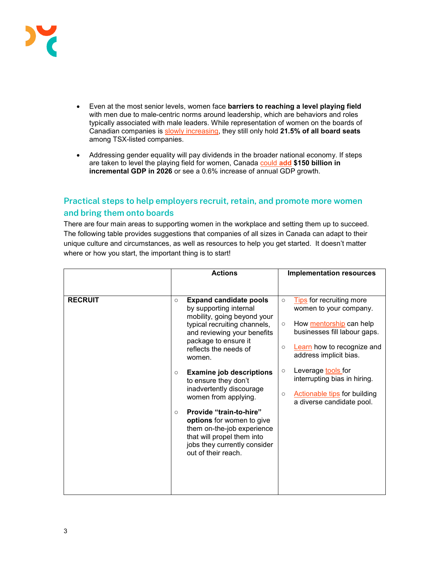

- Even at the most senior levels, women face **barriers to reaching a level playing field** with men due to male-centric norms around leadership, which are behaviors and roles typically associated with male leaders. While representation of women on the boards of Canadian companies is [slowly increasing,](https://www.osler.com/en/resources/governance/2020/report-2020-diversity-disclosure-practices-diversity-and-leadership-at-canadian-public-companies) they still only hold **21.5% of all board seats** among TSX-listed companies.
- Addressing gender equality will pay dividends in the broader national economy. If steps are taken to level the playing field for women, Canada [could](https://www.mckinsey.com/featured-insights/gender-equality/the-power-of-parity-advancing-womens-equality-in-canada) **[add](https://www.mckinsey.com/featured-insights/gender-equality/the-power-of-parity-advancing-womens-equality-in-canada) \$150 billion in incremental GDP in 2026** or see a 0.6% increase of annual GDP growth.

## **Practical steps to help employers recruit, retain, and promote more women and bring them onto boards**

There are four main areas to supporting women in the workplace and setting them up to succeed. The following table provides suggestions that companies of all sizes in Canada can adapt to their unique culture and circumstances, as well as resources to help you get started. It doesn't matter where or how you start, the important thing is to start!

|                | <b>Actions</b>                                                                                                                                                                                                                                                                                               | <b>Implementation resources</b>                                                                                                                                                                        |  |  |
|----------------|--------------------------------------------------------------------------------------------------------------------------------------------------------------------------------------------------------------------------------------------------------------------------------------------------------------|--------------------------------------------------------------------------------------------------------------------------------------------------------------------------------------------------------|--|--|
|                |                                                                                                                                                                                                                                                                                                              |                                                                                                                                                                                                        |  |  |
| <b>RECRUIT</b> | <b>Expand candidate pools</b><br>$\circ$<br>by supporting internal<br>mobility, going beyond your<br>typical recruiting channels,<br>and reviewing your benefits<br>package to ensure it<br>reflects the needs of<br>women.                                                                                  | Tips for recruiting more<br>$\circ$<br>women to your company.<br>How mentorship can help<br>$\circ$<br>businesses fill labour gaps.<br>Learn how to recognize and<br>$\circ$<br>address implicit bias. |  |  |
|                | <b>Examine job descriptions</b><br>$\circ$<br>to ensure they don't<br>inadvertently discourage<br>women from applying.<br>Provide "train-to-hire"<br>$\circ$<br>options for women to give<br>them on-the-job experience<br>that will propel them into<br>jobs they currently consider<br>out of their reach. | Leverage <b>tools</b> for<br>$\circ$<br>interrupting bias in hiring.<br><b>Actionable tips for building</b><br>$\circ$<br>a diverse candidate pool.                                                    |  |  |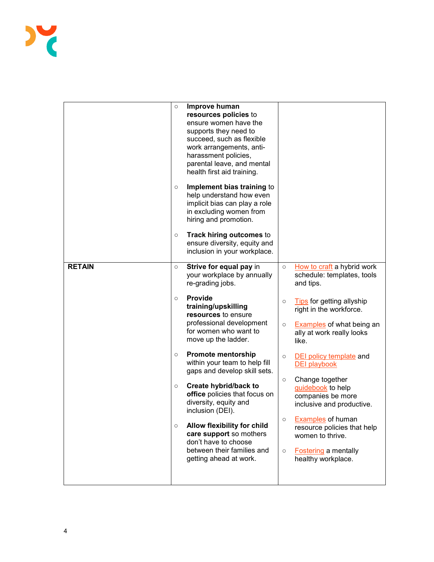|               | $\circ$<br>$\circ$<br>$\circ$                       | Improve human<br>resources policies to<br>ensure women have the<br>supports they need to<br>succeed, such as flexible<br>work arrangements, anti-<br>harassment policies,<br>parental leave, and mental<br>health first aid training.<br>Implement bias training to<br>help understand how even<br>implicit bias can play a role<br>in excluding women from<br>hiring and promotion.<br>Track hiring outcomes to<br>ensure diversity, equity and<br>inclusion in your workplace.                                                                              |                                                                           |                                                                                                                                                                                                                                                                                                                                                                                                                                                                                                |
|---------------|-----------------------------------------------------|---------------------------------------------------------------------------------------------------------------------------------------------------------------------------------------------------------------------------------------------------------------------------------------------------------------------------------------------------------------------------------------------------------------------------------------------------------------------------------------------------------------------------------------------------------------|---------------------------------------------------------------------------|------------------------------------------------------------------------------------------------------------------------------------------------------------------------------------------------------------------------------------------------------------------------------------------------------------------------------------------------------------------------------------------------------------------------------------------------------------------------------------------------|
| <b>RETAIN</b> | $\circ$<br>$\circ$<br>$\circ$<br>$\circ$<br>$\circ$ | Strive for equal pay in<br>your workplace by annually<br>re-grading jobs.<br>Provide<br>training/upskilling<br>resources to ensure<br>professional development<br>for women who want to<br>move up the ladder.<br><b>Promote mentorship</b><br>within your team to help fill<br>gaps and develop skill sets.<br>Create hybrid/back to<br>office policies that focus on<br>diversity, equity and<br>inclusion (DEI).<br>Allow flexibility for child<br>care support so mothers<br>don't have to choose<br>between their families and<br>getting ahead at work. | $\circ$<br>$\circ$<br>$\circ$<br>$\circ$<br>$\circ$<br>$\circ$<br>$\circ$ | How to craft a hybrid work<br>schedule: templates, tools<br>and tips.<br>Tips for getting allyship<br>right in the workforce.<br><b>Examples</b> of what being an<br>ally at work really looks<br>like.<br><b>DEI policy template and</b><br><b>DEI playbook</b><br>Change together<br>guidebook to help<br>companies be more<br>inclusive and productive.<br><b>Examples of human</b><br>resource policies that help<br>women to thrive.<br><b>Fostering a mentally</b><br>healthy workplace. |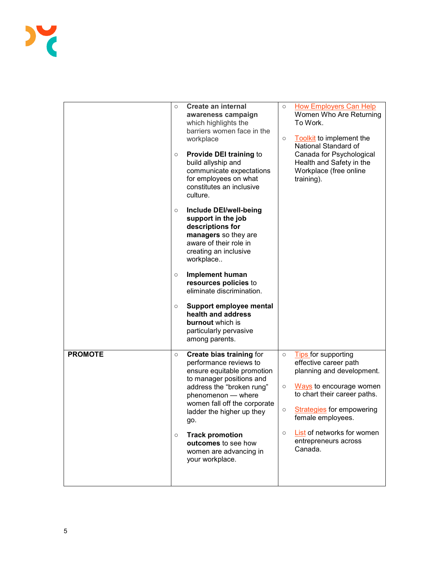|                | $\circ$<br>$\circ$ | <b>Create an internal</b><br>awareness campaign<br>which highlights the<br>barriers women face in the<br>workplace<br><b>Provide DEI training to</b><br>build allyship and<br>communicate expectations<br>for employees on what<br>constitutes an inclusive<br>culture.                                                                  | $\circ$<br>$\circ$                          | <b>How Employers Can Help</b><br>Women Who Are Returning<br>To Work.<br>Toolkit to implement the<br>National Standard of<br>Canada for Psychological<br>Health and Safety in the<br>Workplace (free online<br>training).                                              |
|----------------|--------------------|------------------------------------------------------------------------------------------------------------------------------------------------------------------------------------------------------------------------------------------------------------------------------------------------------------------------------------------|---------------------------------------------|-----------------------------------------------------------------------------------------------------------------------------------------------------------------------------------------------------------------------------------------------------------------------|
|                | $\circ$            | Include DEI/well-being<br>support in the job<br>descriptions for<br>managers so they are<br>aware of their role in<br>creating an inclusive<br>workplace                                                                                                                                                                                 |                                             |                                                                                                                                                                                                                                                                       |
|                | $\circ$            | <b>Implement human</b><br>resources policies to<br>eliminate discrimination.                                                                                                                                                                                                                                                             |                                             |                                                                                                                                                                                                                                                                       |
|                | $\circ$            | Support employee mental<br>health and address<br>burnout which is<br>particularly pervasive<br>among parents.                                                                                                                                                                                                                            |                                             |                                                                                                                                                                                                                                                                       |
| <b>PROMOTE</b> | $\circ$<br>$\circ$ | <b>Create bias training for</b><br>performance reviews to<br>ensure equitable promotion<br>to manager positions and<br>address the "broken rung"<br>phenomenon - where<br>women fall off the corporate<br>ladder the higher up they<br>go.<br><b>Track promotion</b><br>outcomes to see how<br>women are advancing in<br>your workplace. | $\circ$<br>$\circ$<br>$\bigcirc$<br>$\circ$ | <b>Tips</b> for supporting<br>effective career path<br>planning and development.<br>Ways to encourage women<br>to chart their career paths.<br><b>Strategies</b> for empowering<br>female employees.<br>List of networks for women<br>entrepreneurs across<br>Canada. |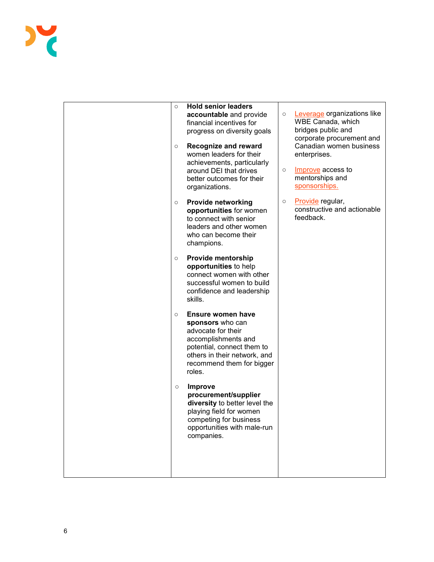

| $\circ$<br>O | <b>Hold senior leaders</b><br>accountable and provide<br>financial incentives for<br>progress on diversity goals<br><b>Recognize and reward</b><br>women leaders for their<br>achievements, particularly<br>around DEI that drives<br>better outcomes for their<br>organizations. | $\circ$<br>$\circ$ | Leverage organizations like<br>WBE Canada, which<br>bridges public and<br>corporate procurement and<br>Canadian women business<br>enterprises.<br>Improve access to<br>mentorships and<br>sponsorships. |
|--------------|-----------------------------------------------------------------------------------------------------------------------------------------------------------------------------------------------------------------------------------------------------------------------------------|--------------------|---------------------------------------------------------------------------------------------------------------------------------------------------------------------------------------------------------|
| $\circ$      | <b>Provide networking</b><br>opportunities for women<br>to connect with senior<br>leaders and other women<br>who can become their<br>champions.                                                                                                                                   | $\circ$            | Provide regular,<br>constructive and actionable<br>feedback.                                                                                                                                            |
| $\circ$      | <b>Provide mentorship</b><br>opportunities to help<br>connect women with other<br>successful women to build<br>confidence and leadership<br>skills.                                                                                                                               |                    |                                                                                                                                                                                                         |
| $\circ$      | Ensure women have<br>sponsors who can<br>advocate for their<br>accomplishments and<br>potential, connect them to<br>others in their network, and<br>recommend them for bigger<br>roles.                                                                                           |                    |                                                                                                                                                                                                         |
| $\circ$      | <b>Improve</b><br>procurement/supplier<br>diversity to better level the<br>playing field for women<br>competing for business<br>opportunities with male-run<br>companies.                                                                                                         |                    |                                                                                                                                                                                                         |
|              |                                                                                                                                                                                                                                                                                   |                    |                                                                                                                                                                                                         |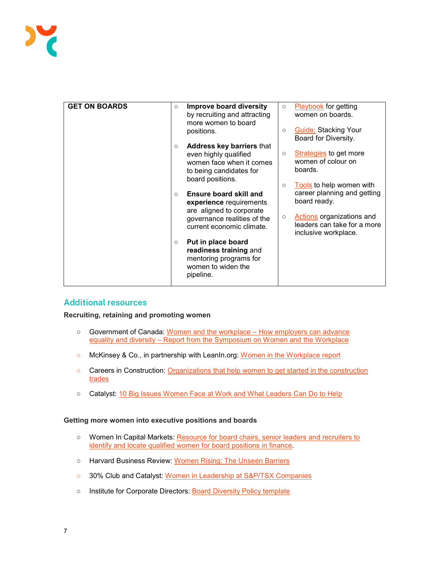| <b>GET ON BOARDS</b> | $\circ$ | <b>Improve board diversity</b><br>by recruiting and attracting<br>more women to board<br>positions.                                       | $\circ$<br>$\circ$ | <b>Playbook</b> for getting<br>women on boards.<br><b>Guide: Stacking Your</b><br>Board for Diversity.                                                      |
|----------------------|---------|-------------------------------------------------------------------------------------------------------------------------------------------|--------------------|-------------------------------------------------------------------------------------------------------------------------------------------------------------|
|                      | $\circ$ | <b>Address key barriers that</b><br>even highly qualified<br>women face when it comes<br>to being candidates for<br>board positions.      | $\circ$            | <b>Strategies</b> to get more<br>women of colour on<br>boards.                                                                                              |
|                      | $\circ$ | Ensure board skill and<br>experience requirements<br>are aligned to corporate<br>governance realities of the<br>current economic climate. | $\circ$<br>$\circ$ | Tools to help women with<br>career planning and getting<br>board ready.<br>Actions organizations and<br>leaders can take for a more<br>inclusive workplace. |
|                      | $\circ$ | Put in place board<br>readiness training and<br>mentoring programs for<br>women to widen the<br>pipeline.                                 |                    |                                                                                                                                                             |

## **Additional resources**

**Recruiting, retaining and promoting women** 

- Government of Canada: Women and the workplace How employers can advance equality and diversity – [Report from the Symposium on Women and the Workplace](https://www.canada.ca/en/employment-social-development/corporate/reports/women-symposium.html)
- McKinsey & Co., in partnership with LeanIn.org: [Women in the Workplace report](https://www.mckinsey.com/featured-insights/diversity-and-inclusion/women-in-the-workplace)
- Careers in Construction: Organizations that help women to get started in the construction [trades](https://www.careersinconstruction.ca/en/why-construction/opportunities-women/organizations-help-women-get-started-construction-trades)
- Catalyst: [10 Big Issues Women Face at Work and What Leaders Can Do to Help](https://www.catalyst.org/2017/01/19/10-big-issues-women-face-at-work-and-what-leaders-can-do-to-help/)

#### **Getting more women into executive positions and boards**

- Women In Capital Markets: Resource for board chairs, senior leaders and recruiters to [identify and locate qualified women for board positions in finance.](https://wcm.ca/women-in-leadership/boards)
- Harvard Business Review: [Women Rising: The Unseen Barriers](https://hbr.org/2013/09/women-rising-the-unseen-barriers)
- 30% Club and Catalyst: [Women in Leadership at S&P/TSX Companies](https://30percentclub.org/assets/uploads/Canada/PDFs/Catalyst_Women_in_Leadership_TSXCompanies_Report_Mar_2020.pdf)
- o Institute for Corporate Directors: [Board Diversity Policy template](https://www.icd.ca/Board-Resources/Tools/Board-Diversity-Policy)